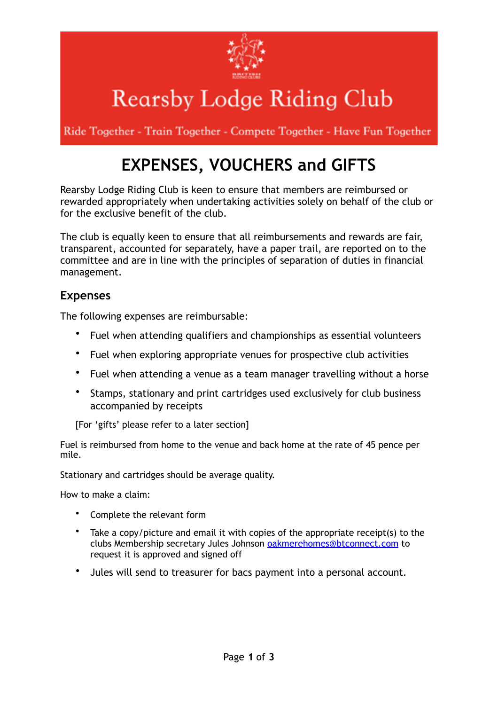

# Rearsby Lodge Riding Club

Ride Together - Train Together - Compete Together - Have Fun Together

# **EXPENSES, VOUCHERS and GIFTS**

Rearsby Lodge Riding Club is keen to ensure that members are reimbursed or rewarded appropriately when undertaking activities solely on behalf of the club or for the exclusive benefit of the club.

The club is equally keen to ensure that all reimbursements and rewards are fair, transparent, accounted for separately, have a paper trail, are reported on to the committee and are in line with the principles of separation of duties in financial management.

### **Expenses**

The following expenses are reimbursable:

- Fuel when attending qualifiers and championships as essential volunteers
- Fuel when exploring appropriate venues for prospective club activities
- Fuel when attending a venue as a team manager travelling without a horse
- Stamps, stationary and print cartridges used exclusively for club business accompanied by receipts

[For 'gifts' please refer to a later section]

Fuel is reimbursed from home to the venue and back home at the rate of 45 pence per mile.

Stationary and cartridges should be average quality.

How to make a claim:

- Complete the relevant form
- Take a copy/picture and email it with copies of the appropriate receipt(s) to the clubs Membership secretary Jules Johnson [oakmerehomes@btconnect.com](mailto:oakmerehomes@btconnect.com) to request it is approved and signed off
- Jules will send to treasurer for bacs payment into a personal account.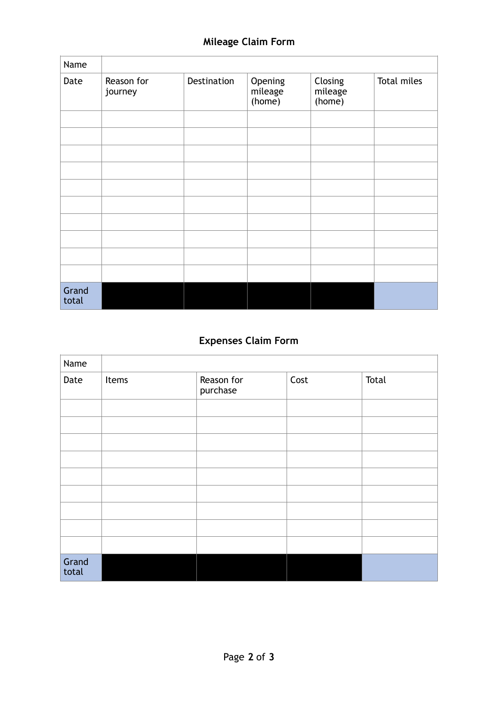| Name           |                       |             |                              |                              |             |
|----------------|-----------------------|-------------|------------------------------|------------------------------|-------------|
| Date           | Reason for<br>journey | Destination | Opening<br>mileage<br>(home) | Closing<br>mileage<br>(home) | Total miles |
|                |                       |             |                              |                              |             |
|                |                       |             |                              |                              |             |
|                |                       |             |                              |                              |             |
|                |                       |             |                              |                              |             |
|                |                       |             |                              |                              |             |
|                |                       |             |                              |                              |             |
|                |                       |             |                              |                              |             |
|                |                       |             |                              |                              |             |
|                |                       |             |                              |                              |             |
|                |                       |             |                              |                              |             |
| Grand<br>total |                       |             |                              |                              |             |

# **Expenses Claim Form**

| Name           |       |                        |      |       |
|----------------|-------|------------------------|------|-------|
| Date           | Items | Reason for<br>purchase | Cost | Total |
|                |       |                        |      |       |
|                |       |                        |      |       |
|                |       |                        |      |       |
|                |       |                        |      |       |
|                |       |                        |      |       |
|                |       |                        |      |       |
|                |       |                        |      |       |
|                |       |                        |      |       |
|                |       |                        |      |       |
| Grand<br>total |       |                        |      |       |